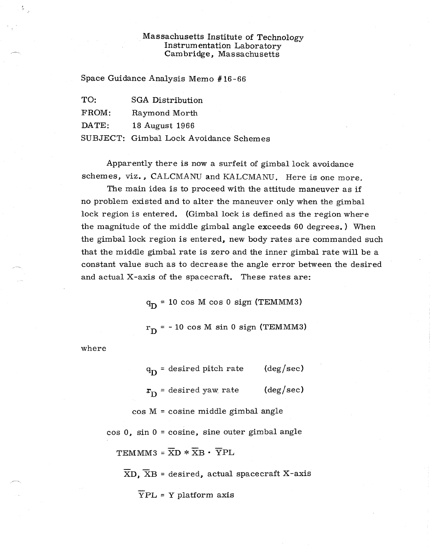## Massachusetts Institute of Technology Instrumentation Laboratory Cambridge, Massachusetts

Space Guidance Analysis Memo #16-66

| TO:            | SGA Distribution                       |
|----------------|----------------------------------------|
| FROM:          | Raymond Morth                          |
| $\text{DATE:}$ | 18 August 1966                         |
|                | SUBJECT: Gimbal Lock Avoidance Schemes |

Apparently there is now a surfeit of gimbal lock avoidance schemes, viz., CALCMANU and KALCMANU. Here is one more.

The main idea is to proceed with the attitude maneuver as if no problem existed and to alter the maneuver only when the gimbal lock region is entered. (Gimbal lock is defined as the region where the magnitude of the middle gimbal angle exceeds 60 degrees. ) When the gimbal lock region is entered, new body rates are commanded such that the middle gimbal rate is zero and the inner gimbal rate will be a constant value such as to decrease the angle error between the desired and actual X-axis of the spacecraft. These rates are:

 $q_D = 10 \cos M \cos 0 \text{ sign (TEMMM3)}$ 

 $r_D$  = -10 cos M sin 0 sign (TEMMM3)

where

 $\mathbb{S}_{\mathbb{Z}}$ 

 $q_D =$  desired pitch rate (deg/sec)  $r_{\text{D}}$  = desired yaw rate (deg/sec) cos M = cosine middle gimbal angle cos 0, sin 0 = cosine, sine outer gimbal angle TEMMM3 =  $\overline{X}D \times \overline{X}B \cdot \overline{Y}PL$ 

 $\overline{X}D$ ,  $\overline{X}B$  = desired, actual spacecraft X-axis

 $\overline{Y}$ PL = Y platform axis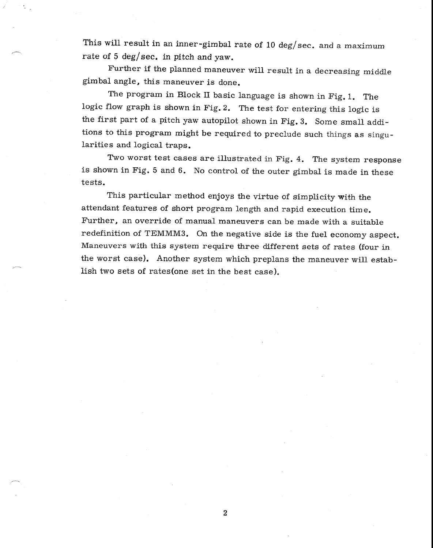This will result in an inner-gimbal rate of 10 deg/sec. and a maximum rate of 5 deg/sec. in pitch and yaw.

Further if the planned maneuver will result in a decreasing middle gimbal angle, this maneuver is done.

The program in Block II basic language is shown in Fig. 1. The logic flow graph is shown in Fig. 2. The test for entering this logic is the first part of a pitch yaw autopilot shown in Fig. 3. Some small additions to this program might be required to preclude such things as singularities and logical traps.

Two worst test cases are illustrated in Fig. 4. The system response is shown in Fig. 5 and 6. No control of the outer gimbal is made in these tests.

This particular method enjoys the virtue of simplicity with the attendant features of short program length and rapid execution time. Further, an override of manual maneuvers can be made with a suitable redefinition of TEMMM3. On the negative side is the fuel economy aspect. Maneuvers with this system require three different sets of rates (four in the worst case). Another system which preplans the maneuver will establish two sets of rates(one set in the best case).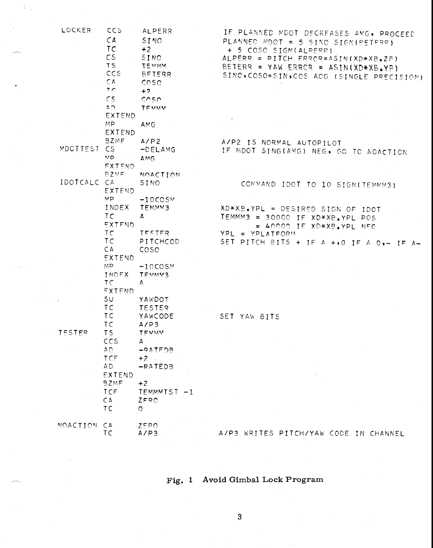| LOCKER        | <b>CCS</b><br>CA<br>TC<br>CS<br><b>TS</b><br>CCS<br>CA<br>TC<br>CS<br>$\Delta$ $\Omega$<br>EXTEND | ALPERR<br>SINO<br>$+2$<br>SINO<br>TEMMM<br><b>BETERR</b><br>coso<br>$+2$<br>coso<br>TEMMM | IF PLANNED MDOT DECREASES AMG, PROCEED<br>PLANNED MDOT = 5 SINO SIGN(PETERR)<br>+ 5 COSO SIGN(ALPERR)<br>ALPERR = PITCH ERROR=ASIN(XD*XB.ZB)<br>BETERR = YAW ERROR = $ASIN(XD*XB, YB)$<br>SINC, COSO=SIN, COS ACG (SINGLE PRECISION) |
|---------------|---------------------------------------------------------------------------------------------------|-------------------------------------------------------------------------------------------|--------------------------------------------------------------------------------------------------------------------------------------------------------------------------------------------------------------------------------------|
|               | MP.<br><b>EXTEND</b>                                                                              | AMG.                                                                                      |                                                                                                                                                                                                                                      |
| MDCTTEST CS   | <b>BZMF</b><br>MD -<br><b>EXTEND</b>                                                              | A/P2<br>-DELAMG<br>AMG                                                                    | A/P2 IS NORMAL AUTOPILOT<br>IF MDOT SING(AMG) NEG, GO TO NOACTION                                                                                                                                                                    |
| IDOTCALC CA   | <b>BZMF</b>                                                                                       | <b>NOACTION</b><br>SINO                                                                   | COMMAND IDOT TO 10 SIGN(TEMMM3)                                                                                                                                                                                                      |
|               | EXTEND<br>мp                                                                                      | $-10C$ CSM                                                                                |                                                                                                                                                                                                                                      |
|               | INDEX<br>TC<br>EXTEND                                                                             | TEMMM3<br>A                                                                               | XD*XB.YPL = DESIRED SIGN OF IDOT<br>$TEMMM3 = 30000 IF XD*XB_{\bullet}YPL POS$<br>$= 40000$ IF XD*XB.YPL NFG                                                                                                                         |
|               | TC                                                                                                | TESTER                                                                                    | YPL = YPLATFORM                                                                                                                                                                                                                      |
|               | TC<br>CA<br><b>EXTEND</b>                                                                         | PITCHCOD<br><b>COSO</b>                                                                   | SET PITCH BITS + IF A +,0 IF A 0,- IF A-                                                                                                                                                                                             |
|               | MP.<br>INDEX<br>TC<br>EXTEND                                                                      | $-10COSM$<br>TEMMM3<br>A                                                                  |                                                                                                                                                                                                                                      |
|               | SU                                                                                                | YAWDOT                                                                                    |                                                                                                                                                                                                                                      |
|               | TC<br>TC.<br>TC                                                                                   | <b>TESTER</b><br>YAWCODE<br>A/P3                                                          | SET YAW BITS                                                                                                                                                                                                                         |
| <b>TESTER</b> | TS                                                                                                | TEMMM                                                                                     |                                                                                                                                                                                                                                      |
|               | ccs<br>AD                                                                                         | A<br>-RATEDB                                                                              |                                                                                                                                                                                                                                      |
|               | TCF<br>AD.                                                                                        | $+2$<br>$-RATEDB$                                                                         |                                                                                                                                                                                                                                      |
|               | EXTEND                                                                                            |                                                                                           |                                                                                                                                                                                                                                      |
|               | <b>BZMF</b><br>TCF<br>CA<br>TC                                                                    | $+2$<br>TEMMMTST -1<br>ZERO<br>$\Omega$                                                   |                                                                                                                                                                                                                                      |
| MOACTION      | $C^{\Delta}$                                                                                      | ZERO                                                                                      |                                                                                                                                                                                                                                      |
|               | TC                                                                                                | A/P3                                                                                      | A/P3 WRITES PITCH/YAW CODE IN CHANNEL                                                                                                                                                                                                |

## Fig. 1 Avoid Gimbal Lock Program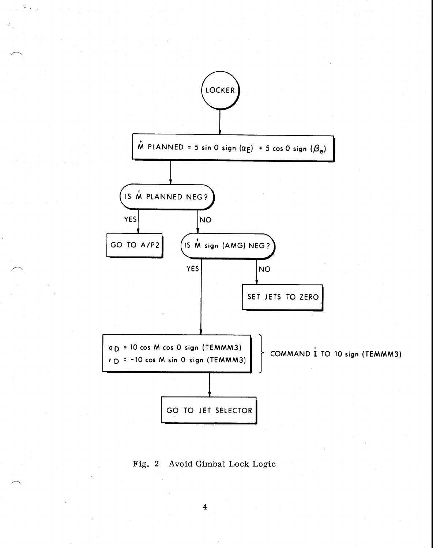

Fig. 2 Avoid Gimbal Lock Logic

 $\overline{\mathbf{4}}$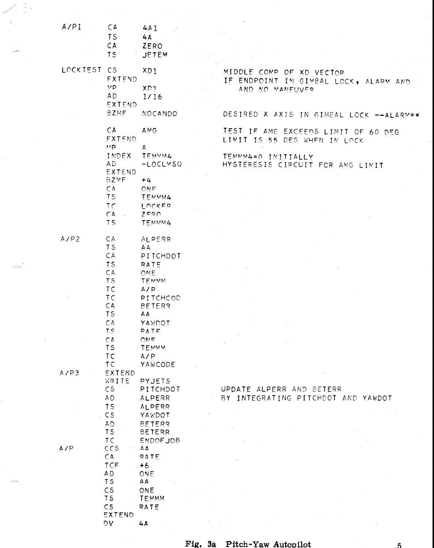| A/P1        | CA                       | 4A1               |                                          |
|-------------|--------------------------|-------------------|------------------------------------------|
|             | <b>TS</b>                | 4A                |                                          |
|             | <b>CA</b>                | <b>ZERO</b>       |                                          |
|             |                          |                   |                                          |
|             | <b>TS</b>                | <b>JETEM</b>      |                                          |
| LOCKTEST CS |                          |                   |                                          |
|             |                          | XD1               | MIDDLE COMP OF XD VECTOR                 |
|             | EXTEND                   |                   | IF ENDPOINT IN GIMBAL LOCK, ALARM AND    |
|             | MP                       | XDI               | AND NO MANEUVER                          |
|             | AD.                      | 1/16              |                                          |
|             | <b>EXTEND</b>            |                   |                                          |
|             | <b>BZMF</b>              | NOCANDO           | DESIRED X AXIS IN GIMBAL LOCK -- ALARM** |
|             |                          |                   |                                          |
|             | CA                       | AMG               | TEST IF AME EXCEEDS LIMIT OF 60 DEG      |
|             | <b>FXTEND</b>            |                   |                                          |
|             |                          |                   | LIMIT IS 55 DEG WHEN IN LOCK             |
|             | MP                       | A.                |                                          |
|             | INDEX                    | TEMVM4            | TEMMM4=0 INITIALLY                       |
|             | AD.<br>EXTEND            | -LOCLMSQ          | HYSTERESIS CIRCUIT FOR AMG LIMIT         |
|             |                          |                   |                                          |
|             | <b>BZMF</b>              | $+4$              |                                          |
|             | CA                       | ONE.              |                                          |
|             | <b>TS</b>                | TEMMM4            |                                          |
|             | TC                       | LOCKER            |                                          |
|             | $C \Delta$               | $Z = 0$           |                                          |
|             | TS                       | TEMMM4            |                                          |
|             |                          |                   |                                          |
| AYP2        | CA                       | ALPERR            |                                          |
|             | T <sub>S</sub>           | AA.               |                                          |
|             | CA                       | PITCHDOT          |                                          |
|             | TS                       | RATE              |                                          |
|             | CA                       | ONE:              |                                          |
|             | T <sub>S</sub>           | TEMMM             |                                          |
|             | TC.                      |                   |                                          |
|             |                          | A/P               |                                          |
|             | TC                       | PITCHCOD          |                                          |
|             | CA                       | <b>BETERR</b>     |                                          |
|             | <b>TS</b>                | AΑ                |                                          |
|             | CA                       | YAWDOT            |                                          |
|             | T <sub>S</sub>           | RATE              |                                          |
|             | $\zeta$                  | ONE.              |                                          |
|             | <b>TS</b>                | TEMMM             |                                          |
|             | TC                       | AYP               |                                          |
|             | TC                       | YAWCODE           |                                          |
| A/P3        | EXTEND                   |                   |                                          |
|             | WRITE                    | PYJETS            |                                          |
|             | CS                       | PITCHDOT          | UPDATE ALPERR AND BETERR                 |
|             | <b>AD</b>                | ALPERR            | BY INTEGRATING PITCHDOT AND YAWDOT       |
|             | TS                       | <b>ALPERR</b>     |                                          |
|             | CS                       | YAWDOT            |                                          |
|             | <b>AD</b>                | <b>BETERR</b>     |                                          |
|             | TS                       | <b>BETERR</b>     |                                          |
|             | TC                       | <b>ENDOFJOB</b>   |                                          |
| AYP         | ccs                      |                   |                                          |
|             |                          | $\Delta$ $\Delta$ |                                          |
|             | CA                       | RATE              |                                          |
|             | TCF                      | $+6$              |                                          |
|             | A <sub>D</sub>           | <b>ONE</b>        |                                          |
|             | TS                       | AA                |                                          |
|             | CS                       | <b>ONE</b>        |                                          |
|             | <b>TS</b>                | TEMMM             |                                          |
|             | $\mathsf{CS}\phantom{0}$ | RATE              |                                          |
|             | EXTEND                   |                   |                                          |
|             | DV.                      | 4A                |                                          |

 $\frac{2}{\sqrt{2}}$  .

 $\hat{\mathcal{A}}$ 

## **Fig. 3a Pitch-Yaw Autopilot 5**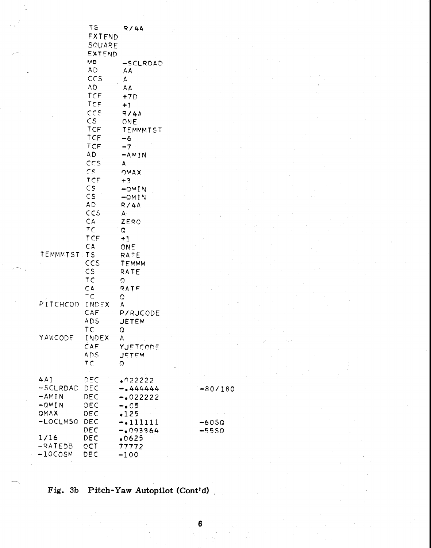|                                                | <b>TS</b><br><b>FXTEND</b><br>SQUARE<br>EXTEND                                              | R/4A                                                       |                    |
|------------------------------------------------|---------------------------------------------------------------------------------------------|------------------------------------------------------------|--------------------|
|                                                | MD<br><b>AD</b><br>CCS<br>A <sub>D</sub><br>TCF<br>TCF<br>ccs<br>CS                         | -SCLRDAD<br>AΑ<br>А<br>AΑ<br>$+7D$<br>$+1$<br>R/4A<br>ONE  |                    |
|                                                | TCF<br>TCF<br>TCF<br>AD.<br>ccs<br>$\mathsf{CS}$                                            | TEMMMTST<br>-6<br>$-7$<br>$-AMIN$<br>A.<br>OMAX            |                    |
|                                                | TCF<br>$\mathsf{CS}\phantom{0}$<br>$\mathsf{CS}\phantom{0}$<br><b>AD</b><br>ccs<br>CA<br>TC | $+3$<br>$-QMIN$<br>$-OMIN$<br>R/4A<br>$\mathbf{A}$<br>ZERO |                    |
| TEMMMTST                                       | TCF<br>CA<br><b>TS</b><br>CCS<br>$\mathsf{CS}\phantom{0}$<br>TC                             | Ű<br>$+1$<br>ONE<br>RATE<br>TEMMM<br>RATE<br>Q             |                    |
| PITCHCOD                                       | $C_A$<br>ТC<br>INDEX<br>CAF<br><b>ADS</b>                                                   | RATE<br>Q<br>д<br><b>P/RJCODE</b><br><b>JETEM</b>          |                    |
| YAWCODE                                        | TC<br>INDEX<br>CAF<br><b>ADS</b><br>ΤC                                                      | Q<br>A<br>YJETCODE<br><b>JETEM</b><br>Q                    |                    |
| 4A1<br>$-SCLRDAD$<br>$-MIN$<br>$-QMIN$<br>QMAX | DEC<br>DEC<br>DEC<br>DEC<br>DEC                                                             | .022222<br>$-0.444444$<br>$-022222$<br>$-0.05$<br>•125     | $-80/180$          |
| -LOCLMSQ<br>1/16<br>$-RATEDB$<br>$-10COSM$     | DEC<br>DEC<br>DEC<br>OCT<br>DEC                                                             | -.111111<br>$-093364$<br>.0625<br>77772<br>$-100$          | $-60SQ$<br>$-5550$ |

Fig. 3b Pitch-Yaw Autopilot (Cont'd)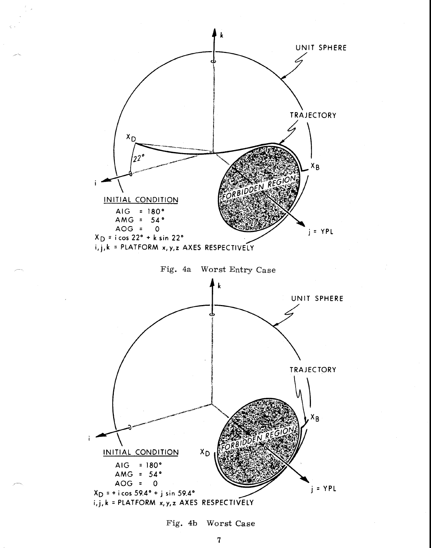

Fig. 4b Worst Case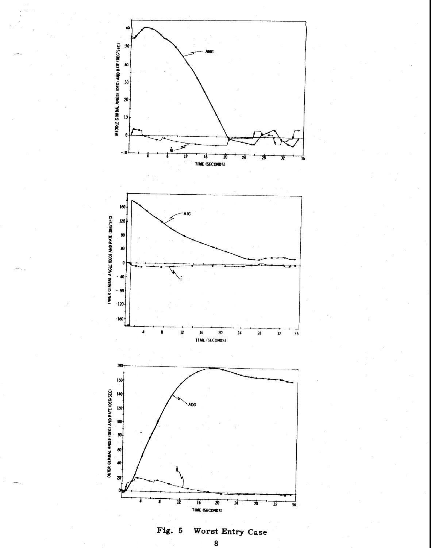

**Fig. 5 Worst Entry Case**